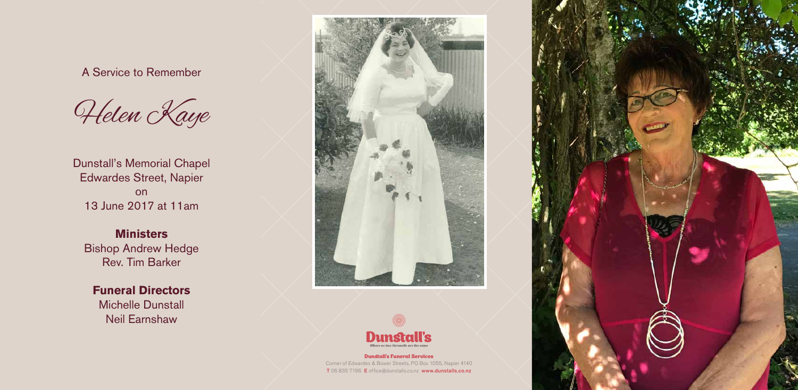#### Dunstall's Funeral Services

Corner of Edwardes & Bower Streets, PO Box 1055, Napier 4140 T 06 835 7196 E office@dunstalls.co.nz www.dunstalls.co.nz



A Service to Remember



Dunstall's Memorial Chapel Edwardes Street, Napier on 13 June 2017 at 11am

**Ministers** Bishop Andrew Hedge Rev. Tim Barker

## **Funeral Directors**

Michelle Dunstall Neil Earnshaw